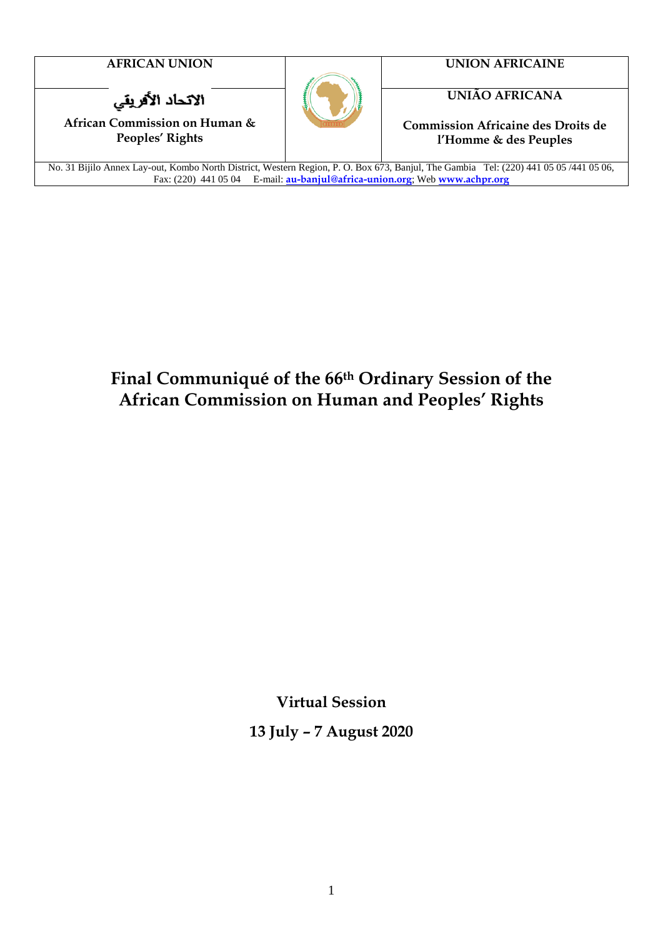الاتحاد الأفريقي

**African Commission on Human & Peoples' Rights**



**AFRICAN UNION UNION AFRICAINE**

**UNIÃO AFRICANA**

**Commission Africaine des Droits de l'Homme & des Peuples**

No. 31 Bijilo Annex Lay-out, Kombo North District, Western Region, P. O. Box 673, Banjul, The Gambia Tel: (220) 441 05 05 /441 05 06, Fax: (220) 441 05 04 E-mail: **[au-banjul@africa-union.org](mailto:au-banjul@africa-unio.org)**; Web **[www.achpr.org](http://www.achpr.org/)**

## **Final Communiqué of the 66th Ordinary Session of the African Commission on Human and Peoples' Rights**

**Virtual Session**

**13 July – 7 August 2020**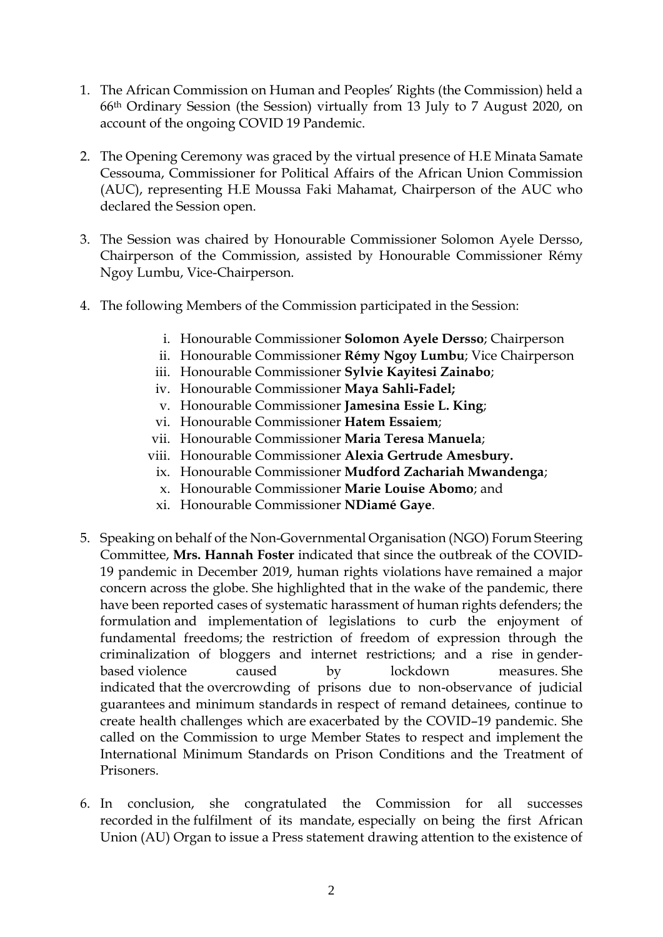- 1. The African Commission on Human and Peoples' Rights (the Commission) held a 66th Ordinary Session (the Session) virtually from 13 July to 7 August 2020, on account of the ongoing COVID 19 Pandemic.
- 2. The Opening Ceremony was graced by the virtual presence of H.E Minata Samate Cessouma, Commissioner for Political Affairs of the African Union Commission (AUC), representing H.E Moussa Faki Mahamat, Chairperson of the AUC who declared the Session open.
- 3. The Session was chaired by Honourable Commissioner Solomon Ayele Dersso, Chairperson of the Commission, assisted by Honourable Commissioner Rémy Ngoy Lumbu, Vice-Chairperson.
- 4. The following Members of the Commission participated in the Session:
	- i. Honourable Commissioner **Solomon Ayele Dersso**; Chairperson
	- ii. Honourable Commissioner **Rémy Ngoy Lumbu**; Vice Chairperson
	- iii. Honourable Commissioner **Sylvie Kayitesi Zainabo**;
	- iv. Honourable Commissioner **Maya Sahli-Fadel;**
	- v. Honourable Commissioner **Jamesina Essie L. King**;
	- vi. Honourable Commissioner **Hatem Essaiem**;
	- vii. Honourable Commissioner **Maria Teresa Manuela**;
	- viii. Honourable Commissioner **Alexia Gertrude Amesbury.**
		- ix. Honourable Commissioner **Mudford Zachariah Mwandenga**;
		- x. Honourable Commissioner **Marie Louise Abomo**; and
		- xi. Honourable Commissioner **NDiamé Gaye**.
- 5. Speaking on behalf of the Non-Governmental Organisation (NGO) Forum Steering Committee, **Mrs. Hannah Foster** indicated that since the outbreak of the COVID-19 pandemic in December 2019, human rights violations have remained a major concern across the globe. She highlighted that in the wake of the pandemic, there have been reported cases of systematic harassment of human rights defenders; the formulation and implementation of legislations to curb the enjoyment of fundamental freedoms; the restriction of freedom of expression through the criminalization of bloggers and internet restrictions; and a rise in genderbased violence caused by lockdown measures. She indicated that the overcrowding of prisons due to non-observance of judicial guarantees and minimum standards in respect of remand detainees, continue to create health challenges which are exacerbated by the COVID–19 pandemic. She called on the Commission to urge Member States to respect and implement the International Minimum Standards on Prison Conditions and the Treatment of Prisoners.
- 6. In conclusion, she congratulated the Commission for all successes recorded in the fulfilment of its mandate, especially on being the first African Union (AU) Organ to issue a Press statement drawing attention to the existence of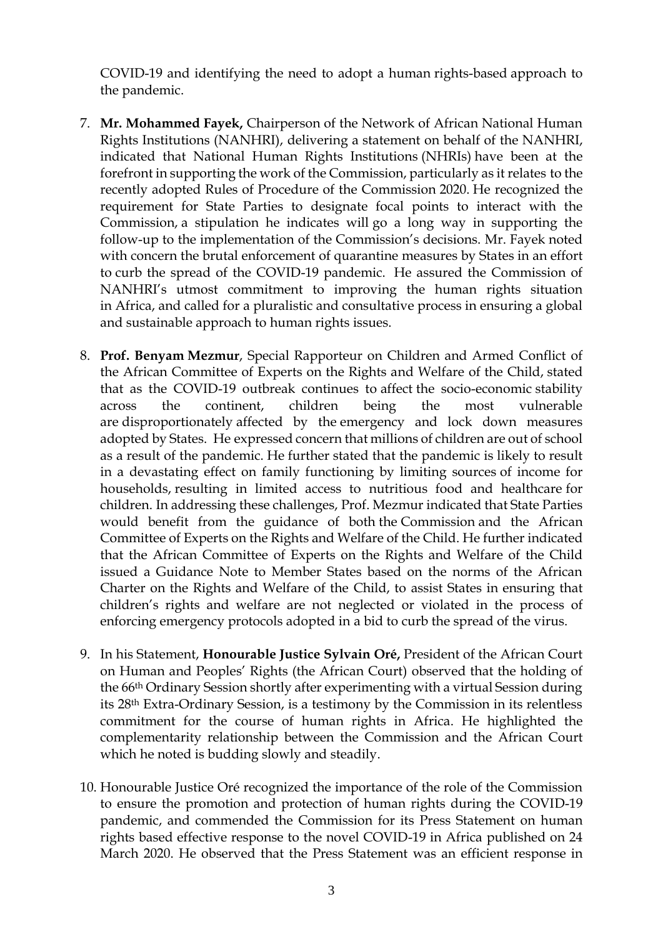COVID-19 and identifying the need to adopt a human rights-based approach to the pandemic.

- 7. **Mr. Mohammed Fayek,** Chairperson of the Network of African National Human Rights Institutions (NANHRI), delivering a statement on behalf of the NANHRI, indicated that National Human Rights Institutions (NHRIs) have been at the forefront in supporting the work of the Commission, particularly as it relates to the recently adopted Rules of Procedure of the Commission 2020. He recognized the requirement for State Parties to designate focal points to interact with the Commission, a stipulation he indicates will go a long way in supporting the follow-up to the implementation of the Commission's decisions. Mr. Fayek noted with concern the brutal enforcement of quarantine measures by States in an effort to curb the spread of the COVID-19 pandemic. He assured the Commission of NANHRI's utmost commitment to improving the human rights situation in Africa, and called for a pluralistic and consultative process in ensuring a global and sustainable approach to human rights issues.
- 8. **Prof. Benyam Mezmur**, Special Rapporteur on Children and Armed Conflict of the African Committee of Experts on the Rights and Welfare of the Child, stated that as the COVID-19 outbreak continues to affect the socio-economic stability across the continent, children being the most vulnerable are disproportionately affected by the emergency and lock down measures adopted by States. He expressed concern that millions of children are out of school as a result of the pandemic. He further stated that the pandemic is likely to result in a devastating effect on family functioning by limiting sources of income for households, resulting in limited access to nutritious food and healthcare for children. In addressing these challenges, Prof. Mezmur indicated that State Parties would benefit from the guidance of both the Commission and the African Committee of Experts on the Rights and Welfare of the Child. He further indicated that the African Committee of Experts on the Rights and Welfare of the Child issued a Guidance Note to Member States based on the norms of the African Charter on the Rights and Welfare of the Child, to assist States in ensuring that children's rights and welfare are not neglected or violated in the process of enforcing emergency protocols adopted in a bid to curb the spread of the virus.
- 9. In his Statement, **Honourable Justice Sylvain Oré,** President of the African Court on Human and Peoples' Rights (the African Court) observed that the holding of the 66th Ordinary Session shortly after experimenting with a virtual Session during its 28th Extra-Ordinary Session, is a testimony by the Commission in its relentless commitment for the course of human rights in Africa. He highlighted the complementarity relationship between the Commission and the African Court which he noted is budding slowly and steadily.
- 10. Honourable Justice Oré recognized the importance of the role of the Commission to ensure the promotion and protection of human rights during the COVID-19 pandemic, and commended the Commission for its Press Statement on human rights based effective response to the novel COVID-19 in Africa published on 24 March 2020. He observed that the Press Statement was an efficient response in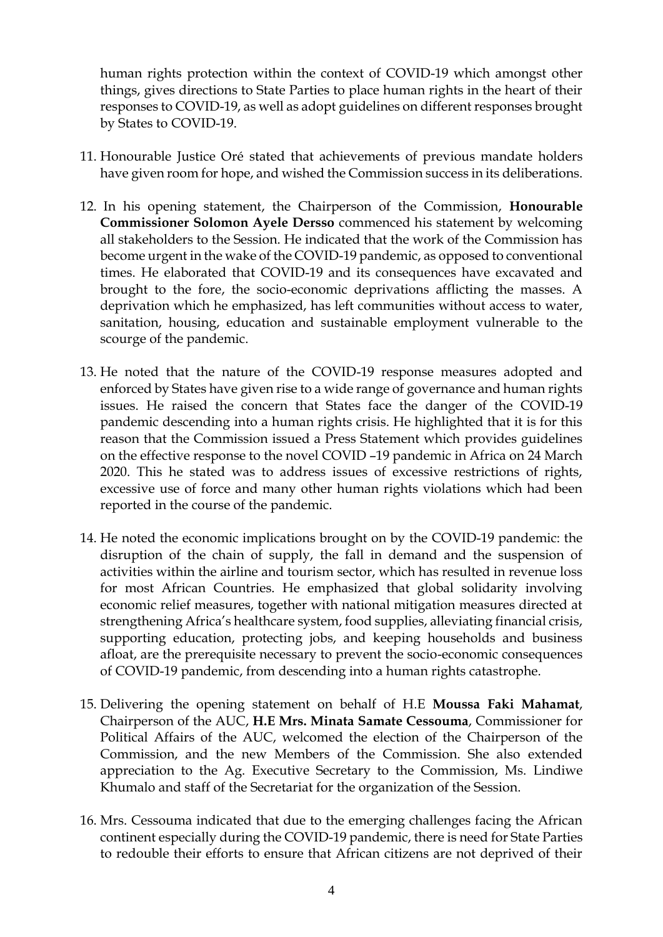human rights protection within the context of COVID-19 which amongst other things, gives directions to State Parties to place human rights in the heart of their responses to COVID-19, as well as adopt guidelines on different responses brought by States to COVID-19.

- 11. Honourable Justice Oré stated that achievements of previous mandate holders have given room for hope, and wished the Commission success in its deliberations.
- 12. In his opening statement, the Chairperson of the Commission, **Honourable Commissioner Solomon Ayele Dersso** commenced his statement by welcoming all stakeholders to the Session. He indicated that the work of the Commission has become urgent in the wake of the COVID-19 pandemic, as opposed to conventional times. He elaborated that COVID-19 and its consequences have excavated and brought to the fore, the socio-economic deprivations afflicting the masses. A deprivation which he emphasized, has left communities without access to water, sanitation, housing, education and sustainable employment vulnerable to the scourge of the pandemic.
- 13. He noted that the nature of the COVID-19 response measures adopted and enforced by States have given rise to a wide range of governance and human rights issues. He raised the concern that States face the danger of the COVID-19 pandemic descending into a human rights crisis. He highlighted that it is for this reason that the Commission issued a Press Statement which provides guidelines on the effective response to the novel COVID –19 pandemic in Africa on 24 March 2020. This he stated was to address issues of excessive restrictions of rights, excessive use of force and many other human rights violations which had been reported in the course of the pandemic.
- 14. He noted the economic implications brought on by the COVID-19 pandemic: the disruption of the chain of supply, the fall in demand and the suspension of activities within the airline and tourism sector, which has resulted in revenue loss for most African Countries. He emphasized that global solidarity involving economic relief measures, together with national mitigation measures directed at strengthening Africa's healthcare system, food supplies, alleviating financial crisis, supporting education, protecting jobs, and keeping households and business afloat, are the prerequisite necessary to prevent the socio-economic consequences of COVID-19 pandemic, from descending into a human rights catastrophe.
- 15. Delivering the opening statement on behalf of H.E **Moussa Faki Mahamat**, Chairperson of the AUC, **H.E Mrs. Minata Samate Cessouma**, Commissioner for Political Affairs of the AUC, welcomed the election of the Chairperson of the Commission, and the new Members of the Commission. She also extended appreciation to the Ag. Executive Secretary to the Commission, Ms. Lindiwe Khumalo and staff of the Secretariat for the organization of the Session.
- 16. Mrs. Cessouma indicated that due to the emerging challenges facing the African continent especially during the COVID-19 pandemic, there is need for State Parties to redouble their efforts to ensure that African citizens are not deprived of their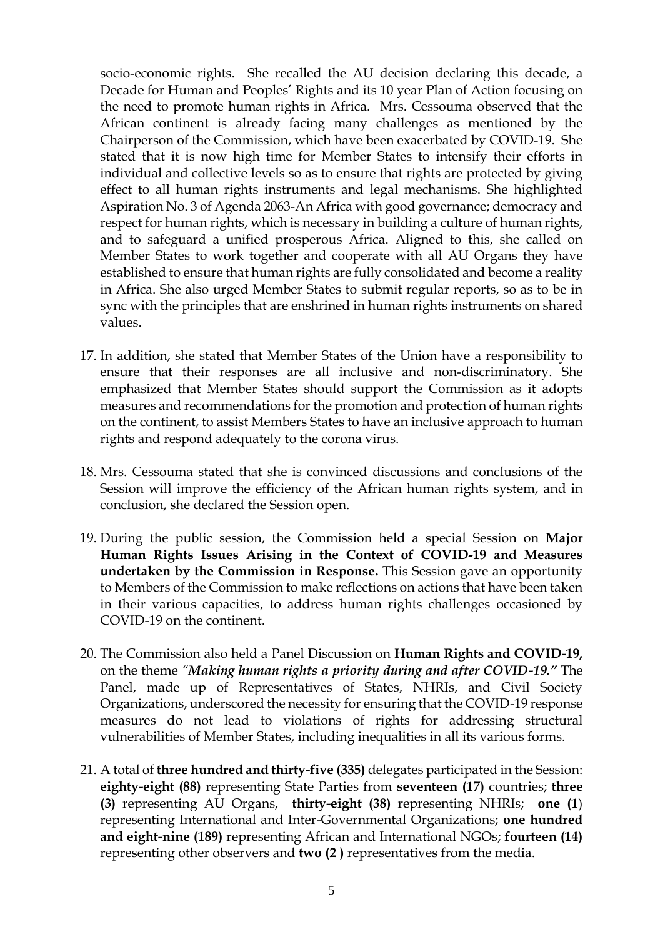socio-economic rights. She recalled the AU decision declaring this decade, a Decade for Human and Peoples' Rights and its 10 year Plan of Action focusing on the need to promote human rights in Africa. Mrs. Cessouma observed that the African continent is already facing many challenges as mentioned by the Chairperson of the Commission, which have been exacerbated by COVID-19. She stated that it is now high time for Member States to intensify their efforts in individual and collective levels so as to ensure that rights are protected by giving effect to all human rights instruments and legal mechanisms. She highlighted Aspiration No. 3 of Agenda 2063-An Africa with good governance; democracy and respect for human rights, which is necessary in building a culture of human rights, and to safeguard a unified prosperous Africa. Aligned to this, she called on Member States to work together and cooperate with all AU Organs they have established to ensure that human rights are fully consolidated and become a reality in Africa. She also urged Member States to submit regular reports, so as to be in sync with the principles that are enshrined in human rights instruments on shared values.

- 17. In addition, she stated that Member States of the Union have a responsibility to ensure that their responses are all inclusive and non-discriminatory. She emphasized that Member States should support the Commission as it adopts measures and recommendations for the promotion and protection of human rights on the continent, to assist Members States to have an inclusive approach to human rights and respond adequately to the corona virus.
- 18. Mrs. Cessouma stated that she is convinced discussions and conclusions of the Session will improve the efficiency of the African human rights system, and in conclusion, she declared the Session open.
- 19. During the public session, the Commission held a special Session on **Major Human Rights Issues Arising in the Context of COVID-19 and Measures undertaken by the Commission in Response.** This Session gave an opportunity to Members of the Commission to make reflections on actions that have been taken in their various capacities, to address human rights challenges occasioned by COVID-19 on the continent.
- 20. The Commission also held a Panel Discussion on **Human Rights and COVID-19,**  on the theme *"Making human rights a priority during and after COVID-19."* The Panel, made up of Representatives of States, NHRIs, and Civil Society Organizations, underscored the necessity for ensuring that the COVID-19 response measures do not lead to violations of rights for addressing structural vulnerabilities of Member States, including inequalities in all its various forms.
- 21. A total of **three hundred and thirty-five (335)** delegates participated in the Session: **eighty-eight (88)** representing State Parties from **seventeen (17)** countries; **three (3)** representing AU Organs, **thirty-eight (38)** representing NHRIs; **one (1**) representing International and Inter-Governmental Organizations; **one hundred and eight-nine (189)** representing African and International NGOs; **fourteen (14)** representing other observers and **two (2 )** representatives from the media.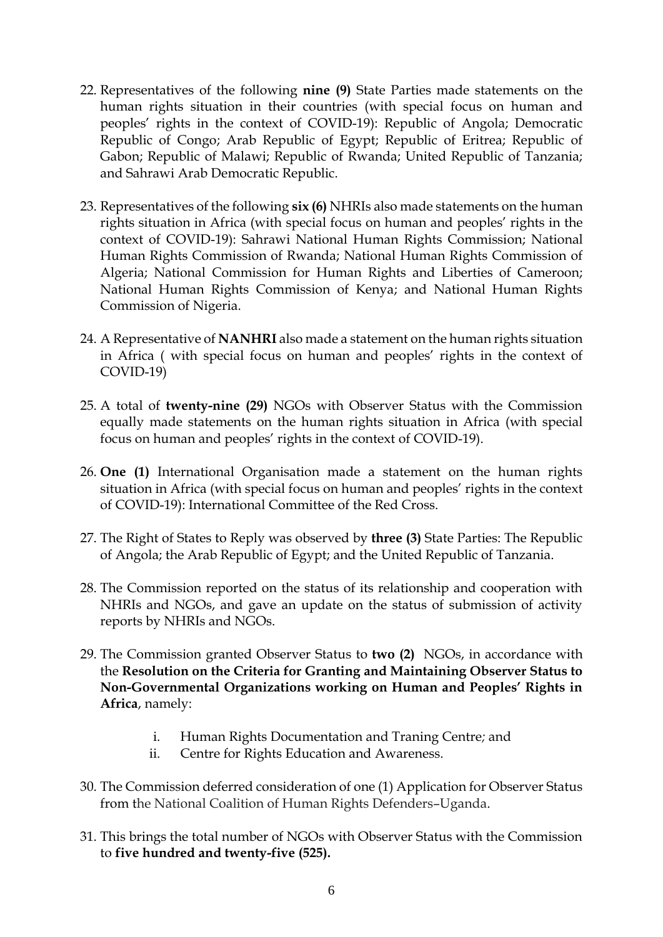- 22. Representatives of the following **nine (9)** State Parties made statements on the human rights situation in their countries (with special focus on human and peoples' rights in the context of COVID-19): Republic of Angola; Democratic Republic of Congo; Arab Republic of Egypt; Republic of Eritrea; Republic of Gabon; Republic of Malawi; Republic of Rwanda; United Republic of Tanzania; and Sahrawi Arab Democratic Republic.
- 23. Representatives of the following **six (6)** NHRIs also made statements on the human rights situation in Africa (with special focus on human and peoples' rights in the context of COVID-19): Sahrawi National Human Rights Commission; National Human Rights Commission of Rwanda; National Human Rights Commission of Algeria; National Commission for Human Rights and Liberties of Cameroon; National Human Rights Commission of Kenya; and National Human Rights Commission of Nigeria.
- 24. A Representative of **NANHRI** also made a statement on the human rights situation in Africa ( with special focus on human and peoples' rights in the context of COVID-19)
- 25. A total of **twenty-nine (29)** NGOs with Observer Status with the Commission equally made statements on the human rights situation in Africa (with special focus on human and peoples' rights in the context of COVID-19).
- 26. **One (1)** International Organisation made a statement on the human rights situation in Africa (with special focus on human and peoples' rights in the context of COVID-19): International Committee of the Red Cross.
- 27. The Right of States to Reply was observed by **three (3)** State Parties: The Republic of Angola; the Arab Republic of Egypt; and the United Republic of Tanzania.
- 28. The Commission reported on the status of its relationship and cooperation with NHRIs and NGOs, and gave an update on the status of submission of activity reports by NHRIs and NGOs.
- 29. The Commission granted Observer Status to **two (2)** NGOs, in accordance with the **Resolution on the Criteria for Granting and Maintaining Observer Status to Non-Governmental Organizations working on Human and Peoples' Rights in Africa**, namely:
	- i. Human Rights Documentation and Traning Centre*;* and
	- ii. Centre for Rights Education and Awareness.
- 30. The Commission deferred consideration of one (1) Application for Observer Status from the National Coalition of Human Rights Defenders–Uganda.
- 31. This brings the total number of NGOs with Observer Status with the Commission to **five hundred and twenty-five (525).**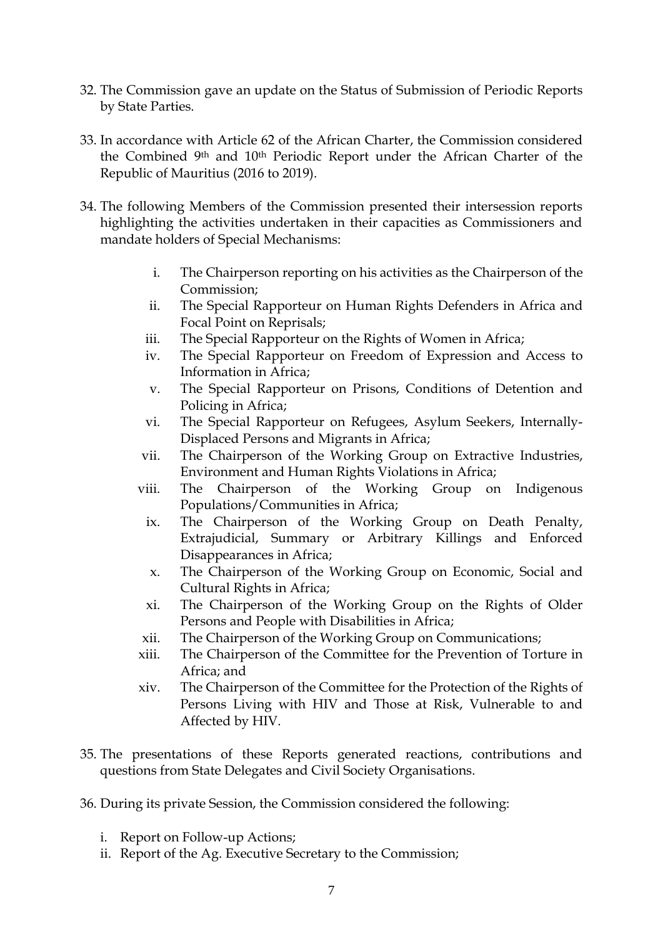- 32. The Commission gave an update on the Status of Submission of Periodic Reports by State Parties.
- 33. In accordance with Article 62 of the African Charter, the Commission considered the Combined 9<sup>th</sup> and 10<sup>th</sup> Periodic Report under the African Charter of the Republic of Mauritius (2016 to 2019).
- 34. The following Members of the Commission presented their intersession reports highlighting the activities undertaken in their capacities as Commissioners and mandate holders of Special Mechanisms:
	- i. The Chairperson reporting on his activities as the Chairperson of the Commission;
	- ii. The Special Rapporteur on Human Rights Defenders in Africa and Focal Point on Reprisals;
	- iii. The Special Rapporteur on the Rights of Women in Africa;
	- iv. The Special Rapporteur on Freedom of Expression and Access to Information in Africa;
	- v. The Special Rapporteur on Prisons, Conditions of Detention and Policing in Africa;
	- vi. The Special Rapporteur on Refugees, Asylum Seekers, Internally-Displaced Persons and Migrants in Africa;
	- vii. The Chairperson of the Working Group on Extractive Industries, Environment and Human Rights Violations in Africa;
	- viii. The Chairperson of the Working Group on Indigenous Populations/Communities in Africa;
		- ix. The Chairperson of the Working Group on Death Penalty, Extrajudicial, Summary or Arbitrary Killings and Enforced Disappearances in Africa;
		- x. The Chairperson of the Working Group on Economic, Social and Cultural Rights in Africa;
		- xi. The Chairperson of the Working Group on the Rights of Older Persons and People with Disabilities in Africa;
	- xii. The Chairperson of the Working Group on Communications;
	- xiii. The Chairperson of the Committee for the Prevention of Torture in Africa; and
	- xiv. The Chairperson of the Committee for the Protection of the Rights of Persons Living with HIV and Those at Risk, Vulnerable to and Affected by HIV.
- 35. The presentations of these Reports generated reactions, contributions and questions from State Delegates and Civil Society Organisations.
- 36. During its private Session, the Commission considered the following:
	- i. Report on Follow-up Actions;
	- ii. Report of the Ag. Executive Secretary to the Commission;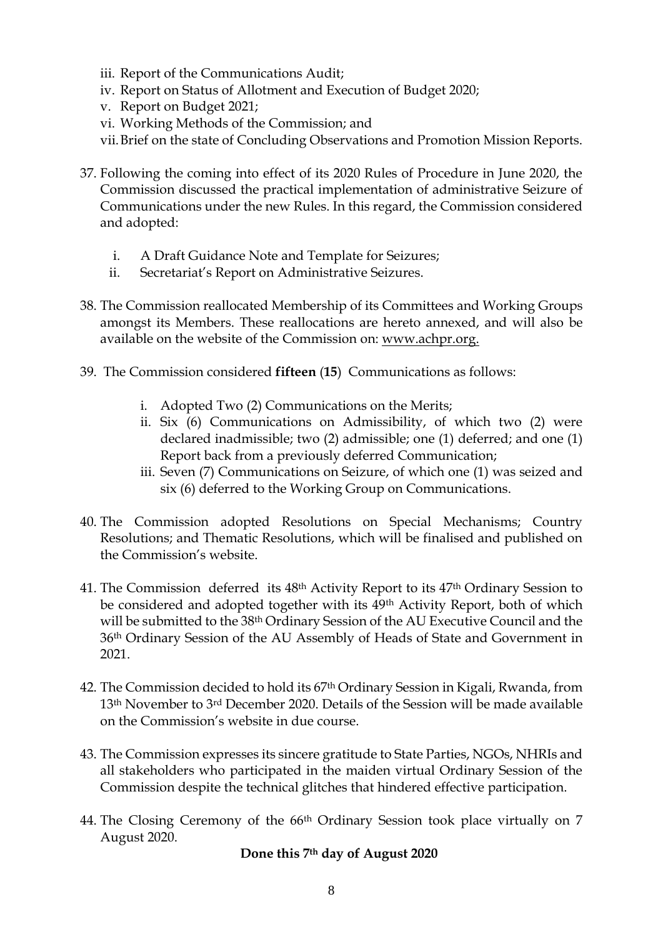- iii. Report of the Communications Audit;
- iv. Report on Status of Allotment and Execution of Budget 2020;
- v. Report on Budget 2021;
- vi. Working Methods of the Commission; and
- vii.Brief on the state of Concluding Observations and Promotion Mission Reports.
- 37. Following the coming into effect of its 2020 Rules of Procedure in June 2020, the Commission discussed the practical implementation of administrative Seizure of Communications under the new Rules. In this regard, the Commission considered and adopted:
	- i. A Draft Guidance Note and Template for Seizures;
	- ii. Secretariat's Report on Administrative Seizures.
- 38. The Commission reallocated Membership of its Committees and Working Groups amongst its Members. These reallocations are hereto annexed, and will also be available on the website of the Commission on: [www.achpr.org.](http://www.achpr.org/)
- 39. The Commission considered **fifteen** (**15**) Communications as follows:
	- i. Adopted Two (2) Communications on the Merits;
	- ii. Six (6) Communications on Admissibility, of which two (2) were declared inadmissible; two (2) admissible; one (1) deferred; and one (1) Report back from a previously deferred Communication;
	- iii. Seven (7) Communications on Seizure, of which one (1) was seized and six (6) deferred to the Working Group on Communications.
- 40. The Commission adopted Resolutions on Special Mechanisms; Country Resolutions; and Thematic Resolutions, which will be finalised and published on the Commission's website.
- 41. The Commission deferred its 48th Activity Report to its 47th Ordinary Session to be considered and adopted together with its 49th Activity Report, both of which will be submitted to the 38th Ordinary Session of the AU Executive Council and the 36th Ordinary Session of the AU Assembly of Heads of State and Government in 2021.
- 42. The Commission decided to hold its 67th Ordinary Session in Kigali, Rwanda, from 13th November to 3rd December 2020. Details of the Session will be made available on the Commission's website in due course.
- 43. The Commission expresses its sincere gratitude to State Parties, NGOs, NHRIs and all stakeholders who participated in the maiden virtual Ordinary Session of the Commission despite the technical glitches that hindered effective participation.
- 44. The Closing Ceremony of the 66th Ordinary Session took place virtually on 7 August 2020.

## **Done this 7th day of August 2020**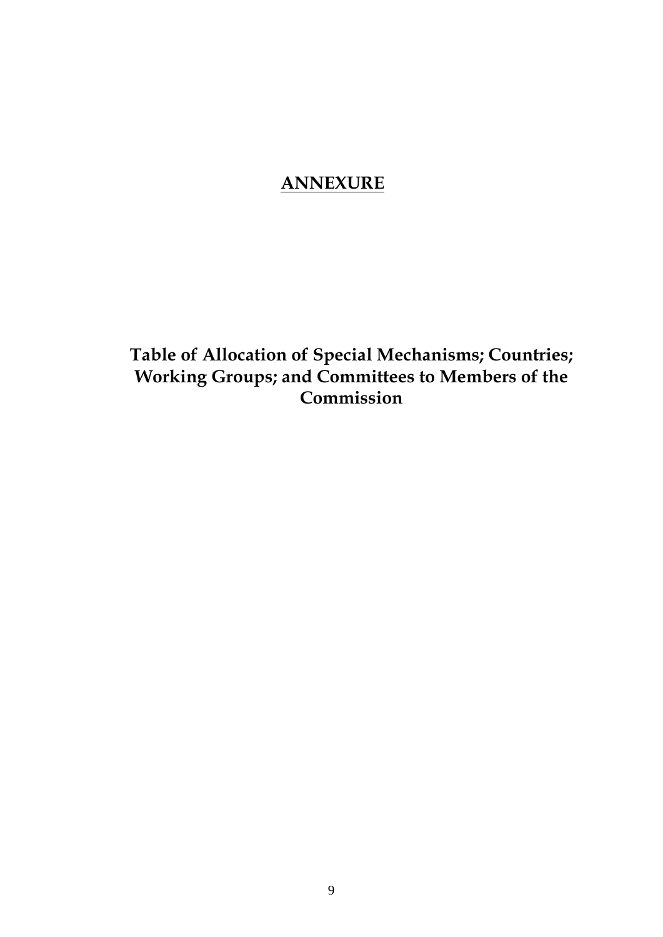## **ANNEXURE**

**Table of Allocation of Special Mechanisms; Countries; Working Groups; and Committees to Members of the Commission**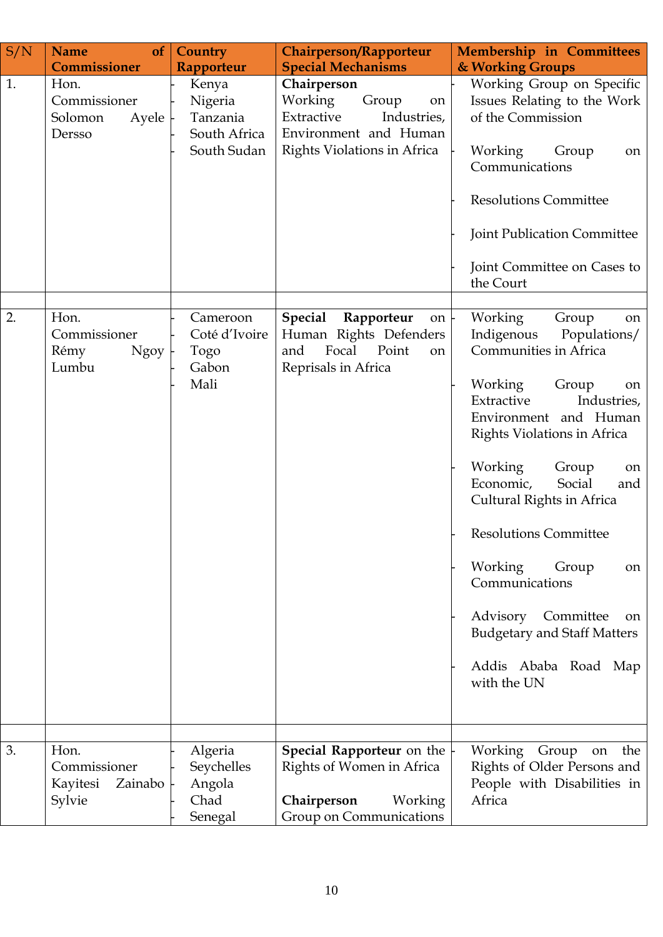| S/N | <b>Name</b><br>of                                     | Country                                                     | <b>Chairperson/Rapporteur</b>                                                                                                      | Membership in Committees                                                                                                                                                                                                                                                                                                                                                                                                                                                             |
|-----|-------------------------------------------------------|-------------------------------------------------------------|------------------------------------------------------------------------------------------------------------------------------------|--------------------------------------------------------------------------------------------------------------------------------------------------------------------------------------------------------------------------------------------------------------------------------------------------------------------------------------------------------------------------------------------------------------------------------------------------------------------------------------|
|     | Commissioner                                          | Rapporteur                                                  | <b>Special Mechanisms</b>                                                                                                          | & Working Groups                                                                                                                                                                                                                                                                                                                                                                                                                                                                     |
| 1.  | Hon.<br>Commissioner<br>Solomon<br>Ayele<br>Dersso    | Kenya<br>Nigeria<br>Tanzania<br>South Africa<br>South Sudan | Chairperson<br>Working<br>Group<br>on<br>Extractive<br>Industries,<br>Environment and Human<br>Rights Violations in Africa         | Working Group on Specific<br>Issues Relating to the Work<br>of the Commission<br>Working<br>Group<br>on<br>Communications<br><b>Resolutions Committee</b><br>Joint Publication Committee<br>Joint Committee on Cases to<br>the Court                                                                                                                                                                                                                                                 |
|     |                                                       |                                                             |                                                                                                                                    |                                                                                                                                                                                                                                                                                                                                                                                                                                                                                      |
| 2.  | Hon.<br>Commissioner<br>Rémy<br><b>Ngoy</b><br>Lumbu  | Cameroon<br>Coté d'Ivoire<br>Togo<br>Gabon<br>Mali          | <b>Special</b><br>Rapporteur<br>$\circ$ n $\vdash$<br>Human Rights Defenders<br>Focal<br>and<br>Point<br>on<br>Reprisals in Africa | Working<br>Group<br>on<br>Indigenous<br>Populations/<br>Communities in Africa<br>Working<br>Group<br>on<br>Extractive<br>Industries,<br>Environment and Human<br>Rights Violations in Africa<br>Working<br>Group<br>on<br>Economic,<br>Social<br>and<br>Cultural Rights in Africa<br><b>Resolutions Committee</b><br>Working<br>Group<br><sub>on</sub><br>Communications<br>Committee<br>Advisory<br>on<br><b>Budgetary and Staff Matters</b><br>Addis Ababa Road Map<br>with the UN |
|     |                                                       |                                                             |                                                                                                                                    |                                                                                                                                                                                                                                                                                                                                                                                                                                                                                      |
| 3.  | Hon.<br>Commissioner<br>Kayitesi<br>Zainabo<br>Sylvie | Algeria<br>Seychelles<br>Angola<br>Chad<br>Senegal          | Special Rapporteur on the<br>Rights of Women in Africa<br>Chairperson<br>Working<br>Group on Communications                        | Working Group<br>the<br>on<br>Rights of Older Persons and<br>People with Disabilities in<br>Africa                                                                                                                                                                                                                                                                                                                                                                                   |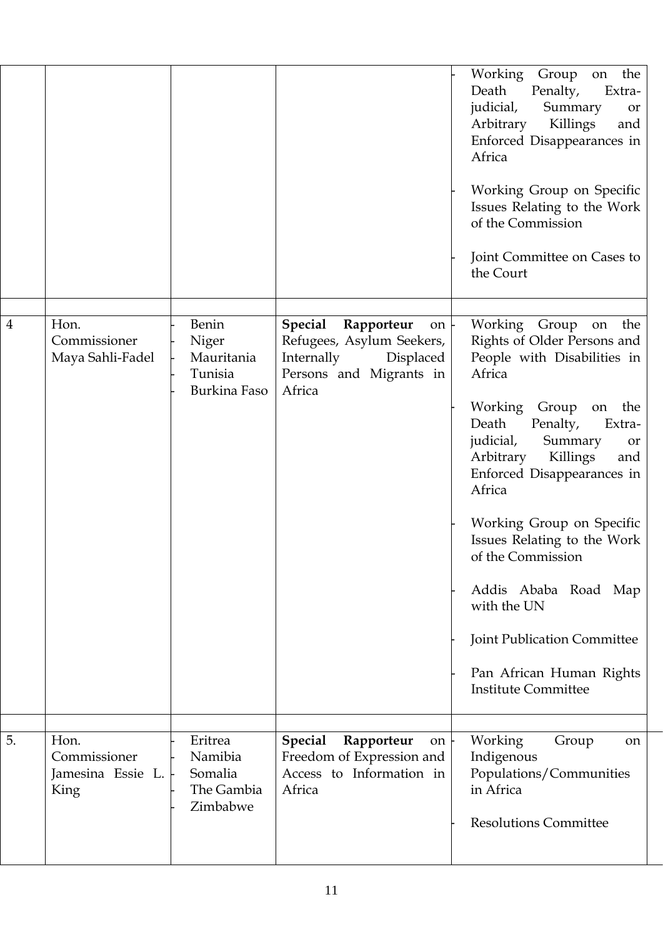|                |                                                   |                                                                |                                                                                                                                       | Working<br>on the<br>Group<br>Death<br>Penalty,<br>Extra-<br>judicial,<br>Summary<br><b>or</b><br>Killings<br>Arbitrary<br>and<br>Enforced Disappearances in<br>Africa<br>Working Group on Specific<br>Issues Relating to the Work<br>of the Commission<br>Joint Committee on Cases to<br>the Court                                                                                                                                                                                 |
|----------------|---------------------------------------------------|----------------------------------------------------------------|---------------------------------------------------------------------------------------------------------------------------------------|-------------------------------------------------------------------------------------------------------------------------------------------------------------------------------------------------------------------------------------------------------------------------------------------------------------------------------------------------------------------------------------------------------------------------------------------------------------------------------------|
| $\overline{4}$ | Hon.<br>Commissioner<br>Maya Sahli-Fadel          | Benin<br>Niger<br>Mauritania<br>Tunisia<br><b>Burkina Faso</b> | Special Rapporteur<br>$\circ$ n $\vdash$<br>Refugees, Asylum Seekers,<br>Internally<br>Displaced<br>Persons and Migrants in<br>Africa | Working Group on the<br>Rights of Older Persons and<br>People with Disabilities in<br>Africa<br>Working<br>Group<br>the<br>on<br>Death<br>Penalty,<br>Extra-<br>judicial,<br>Summary<br>or<br>Arbitrary<br>Killings<br>and<br>Enforced Disappearances in<br>Africa<br>Working Group on Specific<br>Issues Relating to the Work<br>of the Commission<br>Addis Ababa Road Map<br>with the UN<br>Joint Publication Committee<br>Pan African Human Rights<br><b>Institute Committee</b> |
| 5.             | Hon.<br>Commissioner<br>Jamesina Essie L.<br>King | Eritrea<br>Namibia<br>Somalia<br>The Gambia<br>Zimbabwe        | <b>Special</b><br>Rapporteur<br>on<br>Freedom of Expression and<br>Access to Information in<br>Africa                                 | Working<br>Group<br>on<br>Indigenous<br>Populations/Communities<br>in Africa<br><b>Resolutions Committee</b>                                                                                                                                                                                                                                                                                                                                                                        |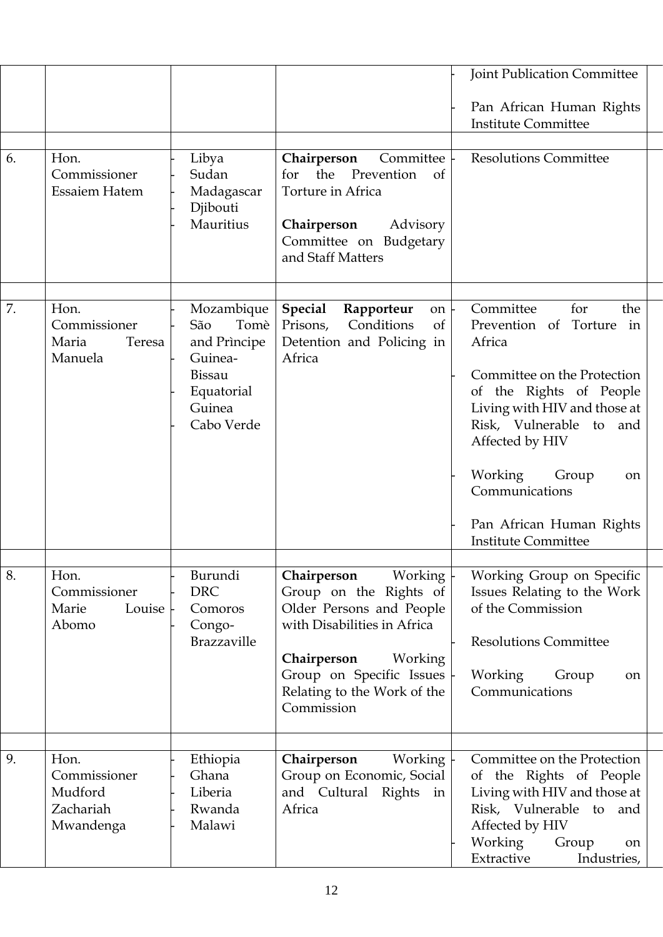|    |                                                           |                                                      |                                                                                                                            | <b>Joint Publication Committee</b>                                                                                                                                |
|----|-----------------------------------------------------------|------------------------------------------------------|----------------------------------------------------------------------------------------------------------------------------|-------------------------------------------------------------------------------------------------------------------------------------------------------------------|
|    |                                                           |                                                      |                                                                                                                            | Pan African Human Rights<br><b>Institute Committee</b>                                                                                                            |
| 6. | Hon.                                                      | Libya                                                | Chairperson<br>Committee                                                                                                   | <b>Resolutions Committee</b>                                                                                                                                      |
|    | Commissioner<br><b>Essaiem Hatem</b>                      | Sudan<br>Madagascar<br>Djibouti<br>Mauritius         | for the<br>Prevention<br>of<br>Torture in Africa<br>Chairperson<br>Advisory<br>Committee on Budgetary<br>and Staff Matters |                                                                                                                                                                   |
|    |                                                           |                                                      |                                                                                                                            |                                                                                                                                                                   |
| 7. | Hon.<br>Commissioner<br>Maria<br>Teresa<br>Manuela        | Mozambique<br>Tomè<br>São<br>and Principe<br>Guinea- | <b>Special</b><br>Rapporteur<br>on<br>Conditions<br>of<br>Prisons,<br>Detention and Policing in<br>Africa                  | Committee<br>for<br>the<br>Torture<br>Prevention of<br>in<br>Africa                                                                                               |
|    |                                                           | Bissau<br>Equatorial<br>Guinea<br>Cabo Verde         |                                                                                                                            | Committee on the Protection<br>of the Rights of People<br>Living with HIV and those at<br>Risk, Vulnerable to and<br>Affected by HIV                              |
|    |                                                           |                                                      |                                                                                                                            | Working<br>Group<br>on<br>Communications                                                                                                                          |
|    |                                                           |                                                      |                                                                                                                            | Pan African Human Rights<br><b>Institute Committee</b>                                                                                                            |
| 8. | Hon.                                                      | Burundi                                              | Working<br>Chairperson                                                                                                     | Working Group on Specific                                                                                                                                         |
|    | Commissioner<br>Louise<br>Marie<br>Abomo                  | <b>DRC</b><br>Comoros<br>Congo-                      | Group on the Rights of<br>Older Persons and People<br>with Disabilities in Africa                                          | Issues Relating to the Work<br>of the Commission                                                                                                                  |
|    |                                                           | Brazzaville                                          |                                                                                                                            | <b>Resolutions Committee</b>                                                                                                                                      |
|    |                                                           |                                                      | Chairperson<br>Working<br>Group on Specific Issues<br>Relating to the Work of the<br>Commission                            | Working<br>Group<br><sub>on</sub><br>Communications                                                                                                               |
|    |                                                           |                                                      |                                                                                                                            |                                                                                                                                                                   |
| 9. | Hon.<br>Commissioner<br>Mudford<br>Zachariah<br>Mwandenga | Ethiopia<br>Ghana<br>Liberia<br>Rwanda<br>Malawi     | Chairperson<br>Working<br>Group on Economic, Social<br>and Cultural Rights<br>in<br>Africa                                 | Committee on the Protection<br>the Rights of People<br>of<br>Living with HIV and those at<br>Risk, Vulnerable to and<br>Affected by HIV<br>Working<br>Group<br>on |
|    |                                                           |                                                      |                                                                                                                            | Extractive<br>Industries,                                                                                                                                         |